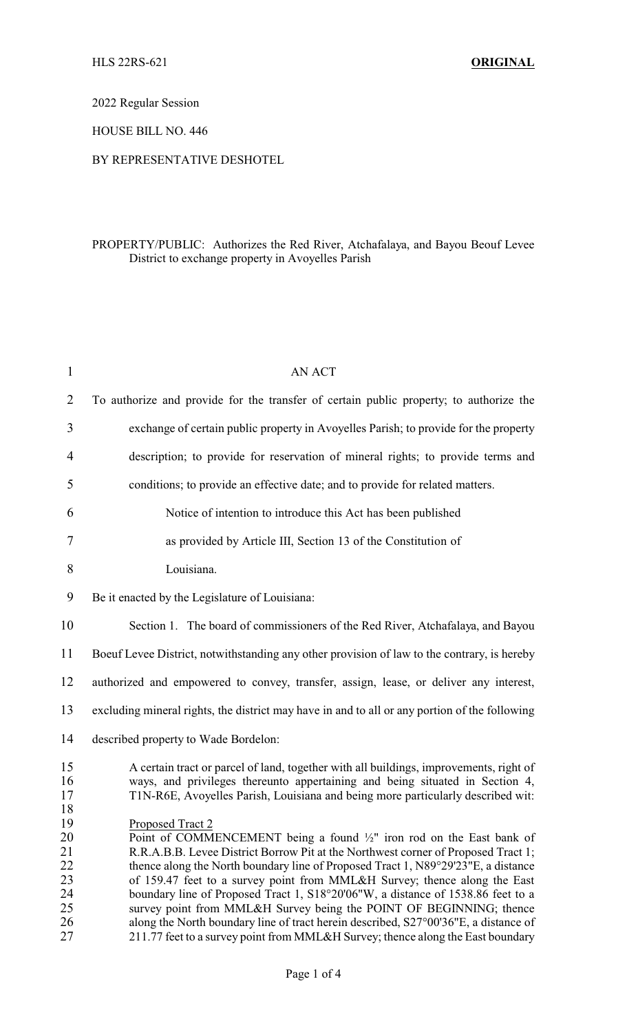2022 Regular Session

HOUSE BILL NO. 446

## BY REPRESENTATIVE DESHOTEL

## PROPERTY/PUBLIC: Authorizes the Red River, Atchafalaya, and Bayou Beouf Levee District to exchange property in Avoyelles Parish

| $\mathbf{1}$                                 | AN ACT                                                                                                                                                                                                                                                                                                                                                                                                                                                                                                                                                                                                       |  |  |
|----------------------------------------------|--------------------------------------------------------------------------------------------------------------------------------------------------------------------------------------------------------------------------------------------------------------------------------------------------------------------------------------------------------------------------------------------------------------------------------------------------------------------------------------------------------------------------------------------------------------------------------------------------------------|--|--|
| $\overline{2}$                               | To authorize and provide for the transfer of certain public property; to authorize the                                                                                                                                                                                                                                                                                                                                                                                                                                                                                                                       |  |  |
| 3                                            | exchange of certain public property in Avoyelles Parish; to provide for the property                                                                                                                                                                                                                                                                                                                                                                                                                                                                                                                         |  |  |
| 4                                            | description; to provide for reservation of mineral rights; to provide terms and                                                                                                                                                                                                                                                                                                                                                                                                                                                                                                                              |  |  |
| 5                                            | conditions; to provide an effective date; and to provide for related matters.                                                                                                                                                                                                                                                                                                                                                                                                                                                                                                                                |  |  |
| 6                                            | Notice of intention to introduce this Act has been published                                                                                                                                                                                                                                                                                                                                                                                                                                                                                                                                                 |  |  |
| 7                                            | as provided by Article III, Section 13 of the Constitution of                                                                                                                                                                                                                                                                                                                                                                                                                                                                                                                                                |  |  |
| 8                                            | Louisiana.                                                                                                                                                                                                                                                                                                                                                                                                                                                                                                                                                                                                   |  |  |
| 9                                            | Be it enacted by the Legislature of Louisiana:                                                                                                                                                                                                                                                                                                                                                                                                                                                                                                                                                               |  |  |
| 10                                           | Section 1. The board of commissioners of the Red River, Atchafalaya, and Bayou                                                                                                                                                                                                                                                                                                                                                                                                                                                                                                                               |  |  |
| 11                                           | Boeuf Levee District, notwithstanding any other provision of law to the contrary, is hereby                                                                                                                                                                                                                                                                                                                                                                                                                                                                                                                  |  |  |
| 12                                           | authorized and empowered to convey, transfer, assign, lease, or deliver any interest,                                                                                                                                                                                                                                                                                                                                                                                                                                                                                                                        |  |  |
| 13                                           | excluding mineral rights, the district may have in and to all or any portion of the following                                                                                                                                                                                                                                                                                                                                                                                                                                                                                                                |  |  |
| 14                                           | described property to Wade Bordelon:                                                                                                                                                                                                                                                                                                                                                                                                                                                                                                                                                                         |  |  |
| 15<br>16<br>17<br>18                         | A certain tract or parcel of land, together with all buildings, improvements, right of<br>ways, and privileges thereunto appertaining and being situated in Section 4,<br>T1N-R6E, Avoyelles Parish, Louisiana and being more particularly described wit:                                                                                                                                                                                                                                                                                                                                                    |  |  |
| 19<br>20<br>21<br>22<br>23<br>24<br>25<br>26 | Proposed Tract 2<br>Point of COMMENCEMENT being a found $\frac{1}{2}$ " iron rod on the East bank of<br>R.R.A.B.B. Levee District Borrow Pit at the Northwest corner of Proposed Tract 1;<br>thence along the North boundary line of Proposed Tract 1, N89°29'23"E, a distance<br>of 159.47 feet to a survey point from MML&H Survey; thence along the East<br>boundary line of Proposed Tract 1, S18°20'06"W, a distance of 1538.86 feet to a<br>survey point from MML&H Survey being the POINT OF BEGINNING; thence<br>along the North boundary line of tract herein described, S27°00'36"E, a distance of |  |  |
| 27                                           | 211.77 feet to a survey point from MML&H Survey; thence along the East boundary                                                                                                                                                                                                                                                                                                                                                                                                                                                                                                                              |  |  |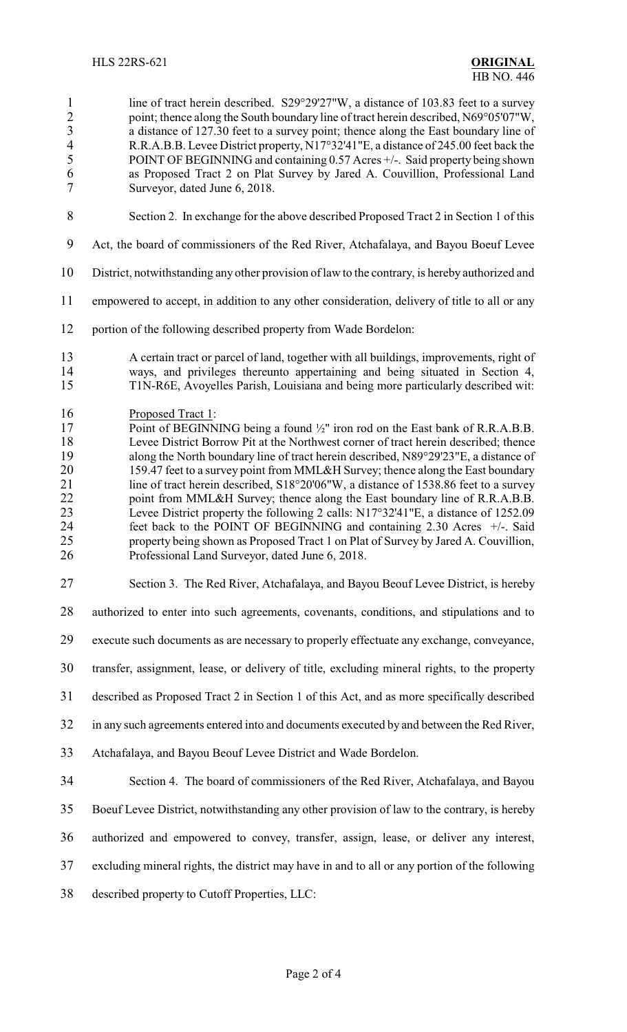1 line of tract herein described. S29°29'27"W, a distance of 103.83 feet to a survey 2 point; thence along the South boundary line of tract herein described, N69°05'07"W,<br>a distance of 127.30 feet to a survey point: thence along the East boundary line of 3 a distance of 127.30 feet to a survey point; thence along the East boundary line of R.R.A.B.B. Levee District property. N17°32'41"E. a distance of 245.00 feet back the 4 R.R.A.B.B. Levee District property, N17°32'41"E, a distance of 245.00 feet back the POINT OF BEGINNING and containing 0.57 Acres +/-. Said property being shown POINT OF BEGINNING and containing 0.57 Acres +/-. Said property being shown as Proposed Tract 2 on Plat Survey by Jared A. Couvillion, Professional Land Surveyor, dated June 6, 2018.

- Section 2. In exchange for the above described Proposed Tract 2 in Section 1 of this
- Act, the board of commissioners of the Red River, Atchafalaya, and Bayou Boeuf Levee
- District, notwithstanding any other provision of law to the contrary, is hereby authorized and
- empowered to accept, in addition to any other consideration, delivery of title to all or any
- portion of the following described property from Wade Bordelon:
- A certain tract or parcel of land, together with all buildings, improvements, right of ways, and privileges thereunto appertaining and being situated in Section 4, T1N-R6E, Avoyelles Parish, Louisiana and being more particularly described wit:
- 16 Proposed Tract 1:<br>17 Point of BEGINN
- 17 Point of BEGINNING being a found <sup>1</sup>/<sub>2</sub>" iron rod on the East bank of R.R.A.B.B.<br>18 Levee District Borrow Pit at the Northwest corner of tract herein described; thence 18 Levee District Borrow Pit at the Northwest corner of tract herein described; thence along the North boundary line of tract herein described, N89°29'23"E, a distance of along the North boundary line of tract herein described, N89°29'23"E, a distance of 20 159.47 feet to a survey point from MML&H Survey; thence along the East boundary<br>21 ine of tract herein described,  $S18^{\circ}20'06''W$ , a distance of 1538.86 feet to a survey line of tract herein described, S18°20'06"W, a distance of 1538.86 feet to a survey 22 point from MML&H Survey; thence along the East boundary line of R.R.A.B.B. Levee District property the following 2 calls: N17°32'41"E, a distance of 1252.09 feet back to the POINT OF BEGINNING and containing 2.30 Acres +/-. Said 25 property being shown as Proposed Tract 1 on Plat of Survey by Jared A. Couvillion,<br>26 Professional Land Surveyor, dated June 6, 2018. Professional Land Surveyor, dated June 6, 2018.
- Section 3. The Red River, Atchafalaya, and Bayou Beouf Levee District, is hereby

authorized to enter into such agreements, covenants, conditions, and stipulations and to

execute such documents as are necessary to properly effectuate any exchange, conveyance,

transfer, assignment, lease, or delivery of title, excluding mineral rights, to the property

described as Proposed Tract 2 in Section 1 of this Act, and as more specifically described

in any such agreements entered into and documents executed by and between the Red River,

- Atchafalaya, and Bayou Beouf Levee District and Wade Bordelon.
- Section 4. The board of commissioners of the Red River, Atchafalaya, and Bayou

Boeuf Levee District, notwithstanding any other provision of law to the contrary, is hereby

- authorized and empowered to convey, transfer, assign, lease, or deliver any interest,
- excluding mineral rights, the district may have in and to all or any portion of the following
- described property to Cutoff Properties, LLC: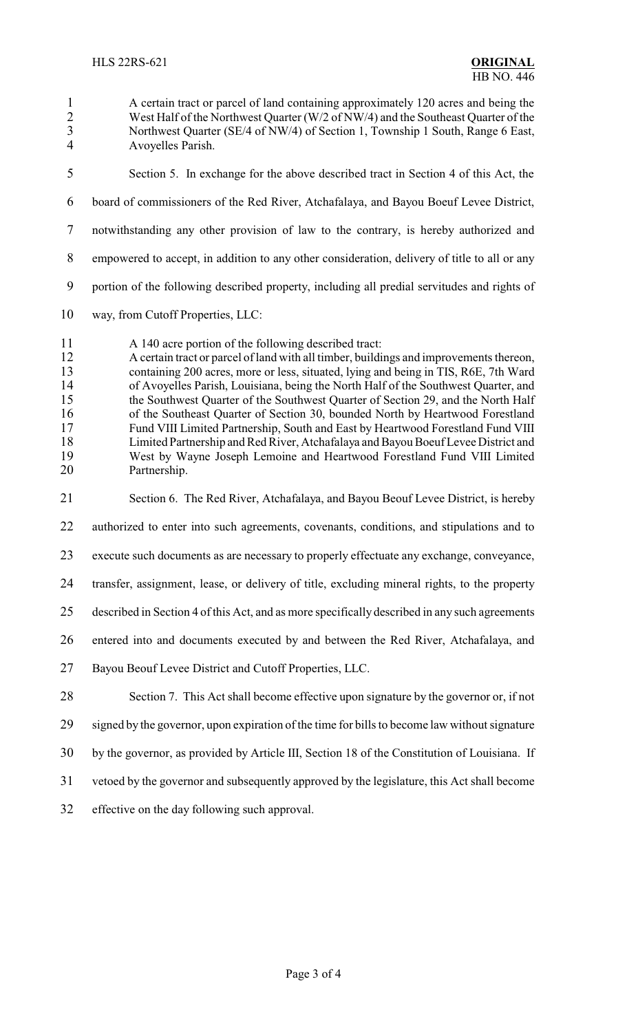- A certain tract or parcel of land containing approximately 120 acres and being the 2 West Half of the Northwest Quarter (W/2 of NW/4) and the Southeast Quarter of the<br>3 Northwest Quarter (SE/4 of NW/4) of Section 1. Township 1 South, Range 6 East, 3 Northwest Quarter (SE/4 of NW/4) of Section 1, Township 1 South, Range 6 East,<br>4 Avovelles Parish Avoyelles Parish. Section 5. In exchange for the above described tract in Section 4 of this Act, the board of commissioners of the Red River, Atchafalaya, and Bayou Boeuf Levee District, notwithstanding any other provision of law to the contrary, is hereby authorized and empowered to accept, in addition to any other consideration, delivery of title to all or any portion of the following described property, including all predial servitudes and rights of way, from Cutoff Properties, LLC: A 140 acre portion of the following described tract: A certain tract or parcel of land with all timber, buildings and improvements thereon, containing 200 acres, more or less, situated, lying and being in TIS, R6E, 7th Ward 14 of Avoyelles Parish, Louisiana, being the North Half of the Southwest Quarter, and<br>15 the Southwest Quarter of the Southwest Quarter of Section 29, and the North Half the Southwest Quarter of the Southwest Quarter of Section 29, and the North Half 16 of the Southeast Quarter of Section 30, bounded North by Heartwood Forestland<br>17 Fund VIII Limited Partnership, South and East by Heartwood Forestland Fund VIII 17 Fund VIII Limited Partnership, South and East by Heartwood Forestland Fund VIII<br>18 Limited Partnership and Red River, Atchafalaya and Bayou Boeuf Levee District and 18 Limited Partnership and Red River, Atchafalaya and Bayou Boeuf Levee District and<br>19 West by Wayne Joseph Lemoine and Heartwood Forestland Fund VIII Limited West by Wayne Joseph Lemoine and Heartwood Forestland Fund VIII Limited Partnership. Section 6. The Red River, Atchafalaya, and Bayou Beouf Levee District, is hereby authorized to enter into such agreements, covenants, conditions, and stipulations and to execute such documents as are necessary to properly effectuate any exchange, conveyance, transfer, assignment, lease, or delivery of title, excluding mineral rights, to the property described in Section 4 of this Act, and as more specifically described in any such agreements entered into and documents executed by and between the Red River, Atchafalaya, and Bayou Beouf Levee District and Cutoff Properties, LLC. Section 7. This Act shall become effective upon signature by the governor or, if not signed by the governor, upon expiration of the time for bills to become law without signature by the governor, as provided by Article III, Section 18 of the Constitution of Louisiana. If vetoed by the governor and subsequently approved by the legislature, this Act shall become
- effective on the day following such approval.